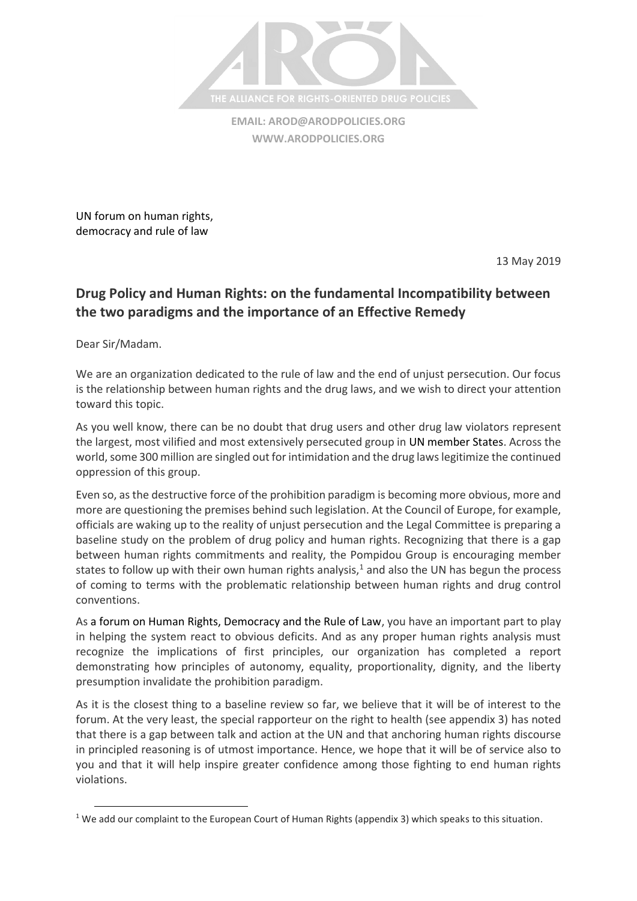

**EMAIL: [AROD@ARODPOLICIES.ORG](mailto:AROD@ARODPOLICIES.ORG) [WWW.ARODPOLICIES.ORG](http://www.arodpolicies.org/)**

UN forum on human rights, democracy and rule of law

13 May 2019

## **Drug Policy and Human Rights: on the fundamental Incompatibility between the two paradigms and the importance of an Effective Remedy**

Dear Sir/Madam.

 $\overline{\phantom{a}}$ 

We are an organization dedicated to the rule of law and the end of unjust persecution. Our focus is the relationship between human rights and the drug laws, and we wish to direct your attention toward this topic.

As you well know, there can be no doubt that drug users and other drug law violators represent the largest, most vilified and most extensively persecuted group in UN member States. Across the world, some 300 million are singled out for intimidation and the drug laws legitimize the continued oppression of this group.

Even so, as the destructive force of the prohibition paradigm is becoming more obvious, more and more are questioning the premises behind such legislation. At the Council of Europe, for example, officials are waking up to the reality of unjust persecution and the Legal Committee is preparing a baseline study on the problem of drug policy and human rights. Recognizing that there is a gap between human rights commitments and reality, the Pompidou Group is encouraging member states to follow up with their own human rights analysis, $1$  and also the UN has begun the process of coming to terms with the problematic relationship between human rights and drug control conventions.

As a forum on Human Rights, Democracy and the Rule of Law, you have an important part to play in helping the system react to obvious deficits. And as any proper human rights analysis must recognize the implications of first principles, our organization has completed a report demonstrating how principles of autonomy, equality, proportionality, dignity, and the liberty presumption invalidate the prohibition paradigm.

As it is the closest thing to a baseline review so far, we believe that it will be of interest to the forum. At the very least, the special rapporteur on the right to health (see appendix 3) has noted that there is a gap between talk and action at the UN and that anchoring human rights discourse in principled reasoning is of utmost importance. Hence, we hope that it will be of service also to you and that it will help inspire greater confidence among those fighting to end human rights violations.

<sup>&</sup>lt;sup>1</sup> We add our complaint to the European Court of Human Rights (appendix 3) which speaks to this situation.